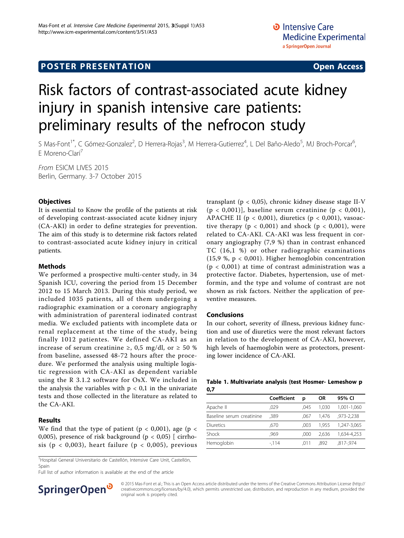## **POSTER PRESENTATION CONSUMING ACCESS**

# Risk factors of contrast-associated acute kidney injury in spanish intensive care patients: preliminary results of the nefrocon study

S Mas-Font<sup>1\*</sup>, C Gómez-Gonzalez<sup>2</sup>, D Herrera-Rojas<sup>3</sup>, M Herrera-Gutierrez<sup>4</sup>, L Del Baño-Aledo<sup>5</sup>, MJ Broch-Porcar<sup>6</sup> י<br>, E Moreno-Clarí<sup>7</sup>

From ESICM LIVES 2015 Berlin, Germany. 3-7 October 2015

### **Objectives**

It is essential to Know the profile of the patients at risk of developing contrast-associated acute kidney injury (CA-AKI) in order to define strategies for prevention. The aim of this study is to determine risk factors related to contrast-associated acute kidney injury in critical patients.

#### Methods

We performed a prospective multi-center study, in 34 Spanish ICU, covering the period from 15 December 2012 to 15 March 2013. During this study period, we included 1035 patients, all of them undergoing a radiographic examination or a coronary angiography with administration of parenteral iodinated contrast media. We excluded patients with incomplete data or renal replacement at the time of the study, being finally 1012 patientes. We defined CA-AKI as an increase of serum creatinine ≥, 0,5 mg/dl, or  $\geq$  50 % from baseline, assessed 48-72 hours after the procedure. We performed the analysis using multiple logistic regression with CA-AKI as dependent variable using the R 3.1.2 software for OsX. We included in the analysis the variables with  $p < 0.1$  in the univariate tests and those collected in the literature as related to the CA-AKI.

### Results

We find that the type of patient ( $p < 0.001$ ), age ( $p <$ 0,005), presence of risk background ( $p < 0.05$ ) [ cirrhosis ( $p < 0.003$ ), heart failure ( $p < 0.005$ ), previous

<sup>1</sup>Hospital General Universitario de Castellón, Intensive Care Unit, Castellón, Spain

Full list of author information is available at the end of the article



transplant (p < 0,05), chronic kidney disease stage II-V  $(p < 0.001)$ ], baseline serum creatinine  $(p < 0.001)$ , APACHE II ( $p < 0.001$ ), diuretics ( $p < 0.001$ ), vasoactive therapy ( $p < 0.001$ ) and shock ( $p < 0.001$ ), were related to CA-AKI. CA-AKI was less frequent in coronary angiography (7,9 %) than in contrast enhanced TC (16,1 %) or other radiographic examinations (15,9 %, p < 0,001). Higher hemoglobin concentration  $(p < 0.001)$  at time of contrast administration was a protective factor. Diabetes, hypertension, use of metformin, and the type and volume of contrast are not shown as risk factors. Neither the application of preventive measures.

#### Conclusions

In our cohort, severity of illness, previous kidney function and use of diuretics were the most relevant factors in relation to the development of CA-AKI, however, high levels of haemoglobin were as protectors, presenting lower incidence of CA-AKI.

|     | Table 1. Multivariate analysis (test Hosmer- Lemeshow p |  |  |  |
|-----|---------------------------------------------------------|--|--|--|
| 0,7 |                                                         |  |  |  |

|                           | Coefficient | D    | OR    | 95% CI      |
|---------------------------|-------------|------|-------|-------------|
| Apache II                 | .029        | .045 | 1.030 | 1.001-1.060 |
| Baseline serum creatinine | .389        | .067 | 1.476 | .973-2.238  |
| <b>Diuretics</b>          | .670        | .003 | 1.955 | 1,247-3,065 |
| Shock                     | .969        | .000 | 2.636 | 1.634-4.253 |
| Hemoglobin                | $-114$      | .011 | .892  | .817-.974   |

© 2015 Mas-Font et al.; This is an Open Access article distributed under the terms of the Creative Commons Attribution License [\(http://](http://creativecommons.org/licenses/by/4.0) [creativecommons.org/licenses/by/4.0](http://creativecommons.org/licenses/by/4.0)), which permits unrestricted use, distribution, and reproduction in any medium, provided the original work is properly cited.